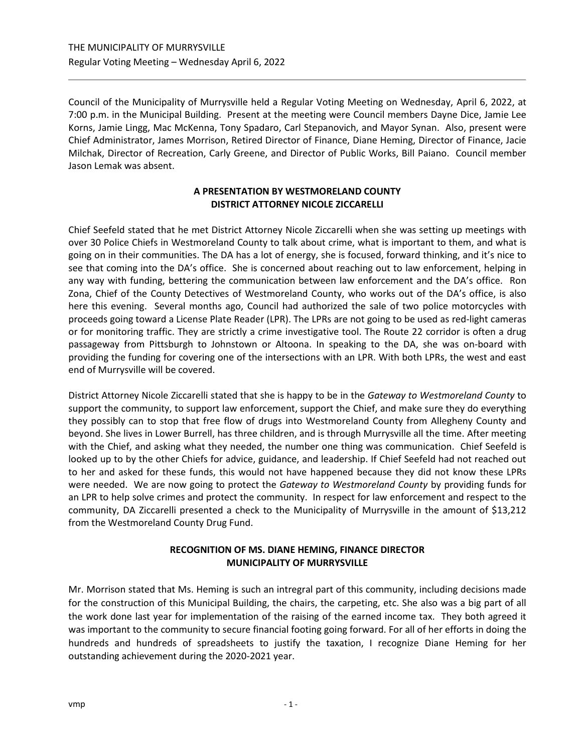Council of the Municipality of Murrysville held a Regular Voting Meeting on Wednesday, April 6, 2022, at 7:00 p.m. in the Municipal Building. Present at the meeting were Council members Dayne Dice, Jamie Lee Korns, Jamie Lingg, Mac McKenna, Tony Spadaro, Carl Stepanovich, and Mayor Synan. Also, present were Chief Administrator, James Morrison, Retired Director of Finance, Diane Heming, Director of Finance, Jacie Milchak, Director of Recreation, Carly Greene, and Director of Public Works, Bill Paiano. Council member Jason Lemak was absent.

# **A PRESENTATION BY WESTMORELAND COUNTY DISTRICT ATTORNEY NICOLE ZICCARELLI**

Chief Seefeld stated that he met District Attorney Nicole Ziccarelli when she was setting up meetings with over 30 Police Chiefs in Westmoreland County to talk about crime, what is important to them, and what is going on in their communities. The DA has a lot of energy, she is focused, forward thinking, and it's nice to see that coming into the DA's office. She is concerned about reaching out to law enforcement, helping in any way with funding, bettering the communication between law enforcement and the DA's office. Ron Zona, Chief of the County Detectives of Westmoreland County, who works out of the DA's office, is also here this evening. Several months ago, Council had authorized the sale of two police motorcycles with proceeds going toward a License Plate Reader (LPR). The LPRs are not going to be used as red-light cameras or for monitoring traffic. They are strictly a crime investigative tool. The Route 22 corridor is often a drug passageway from Pittsburgh to Johnstown or Altoona. In speaking to the DA, she was on-board with providing the funding for covering one of the intersections with an LPR. With both LPRs, the west and east end of Murrysville will be covered.

District Attorney Nicole Ziccarelli stated that she is happy to be in the *Gateway to Westmoreland County* to support the community, to support law enforcement, support the Chief, and make sure they do everything they possibly can to stop that free flow of drugs into Westmoreland County from Allegheny County and beyond. She lives in Lower Burrell, has three children, and is through Murrysville all the time. After meeting with the Chief, and asking what they needed, the number one thing was communication. Chief Seefeld is looked up to by the other Chiefs for advice, guidance, and leadership. If Chief Seefeld had not reached out to her and asked for these funds, this would not have happened because they did not know these LPRs were needed. We are now going to protect the *Gateway to Westmoreland County* by providing funds for an LPR to help solve crimes and protect the community. In respect for law enforcement and respect to the community, DA Ziccarelli presented a check to the Municipality of Murrysville in the amount of \$13,212 from the Westmoreland County Drug Fund.

# **RECOGNITION OF MS. DIANE HEMING, FINANCE DIRECTOR MUNICIPALITY OF MURRYSVILLE**

Mr. Morrison stated that Ms. Heming is such an intregral part of this community, including decisions made for the construction of this Municipal Building, the chairs, the carpeting, etc. She also was a big part of all the work done last year for implementation of the raising of the earned income tax. They both agreed it was important to the community to secure financial footing going forward. For all of her efforts in doing the hundreds and hundreds of spreadsheets to justify the taxation, I recognize Diane Heming for her outstanding achievement during the 2020-2021 year.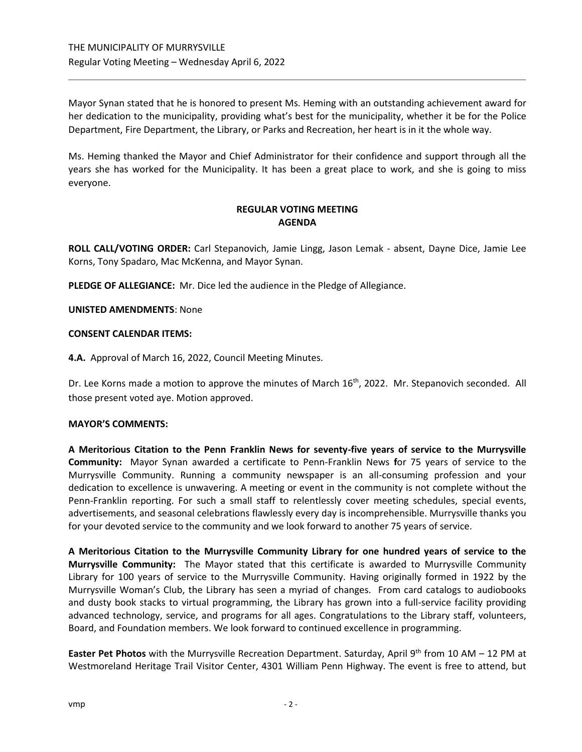Mayor Synan stated that he is honored to present Ms. Heming with an outstanding achievement award for her dedication to the municipality, providing what's best for the municipality, whether it be for the Police Department, Fire Department, the Library, or Parks and Recreation, her heart is in it the whole way.

Ms. Heming thanked the Mayor and Chief Administrator for their confidence and support through all the years she has worked for the Municipality. It has been a great place to work, and she is going to miss everyone.

# **REGULAR VOTING MEETING AGENDA**

**ROLL CALL/VOTING ORDER:** Carl Stepanovich, Jamie Lingg, Jason Lemak - absent, Dayne Dice, Jamie Lee Korns, Tony Spadaro, Mac McKenna, and Mayor Synan.

**PLEDGE OF ALLEGIANCE:** Mr. Dice led the audience in the Pledge of Allegiance.

# **UNISTED AMENDMENTS**: None

# **CONSENT CALENDAR ITEMS:**

**4.A.** Approval of March 16, 2022, Council Meeting Minutes.

Dr. Lee Korns made a motion to approve the minutes of March 16<sup>th</sup>, 2022. Mr. Stepanovich seconded. All those present voted aye. Motion approved.

# **MAYOR'S COMMENTS:**

**A Meritorious Citation to the Penn Franklin News for seventy-five years of service to the Murrysville Community:** Mayor Synan awarded a certificate to Penn-Franklin News **f**or 75 years of service to the Murrysville Community. Running a community newspaper is an all-consuming profession and your dedication to excellence is unwavering. A meeting or event in the community is not complete without the Penn-Franklin reporting. For such a small staff to relentlessly cover meeting schedules, special events, advertisements, and seasonal celebrations flawlessly every day is incomprehensible. Murrysville thanks you for your devoted service to the community and we look forward to another 75 years of service.

**A Meritorious Citation to the Murrysville Community Library for one hundred years of service to the Murrysville Community:** The Mayor stated that this certificate is awarded to Murrysville Community Library for 100 years of service to the Murrysville Community. Having originally formed in 1922 by the Murrysville Woman's Club, the Library has seen a myriad of changes. From card catalogs to audiobooks and dusty book stacks to virtual programming, the Library has grown into a full-service facility providing advanced technology, service, and programs for all ages. Congratulations to the Library staff, volunteers, Board, and Foundation members. We look forward to continued excellence in programming.

**Easter Pet Photos** with the Murrysville Recreation Department. Saturday, April 9<sup>th</sup> from 10 AM – 12 PM at Westmoreland Heritage Trail Visitor Center, 4301 William Penn Highway. The event is free to attend, but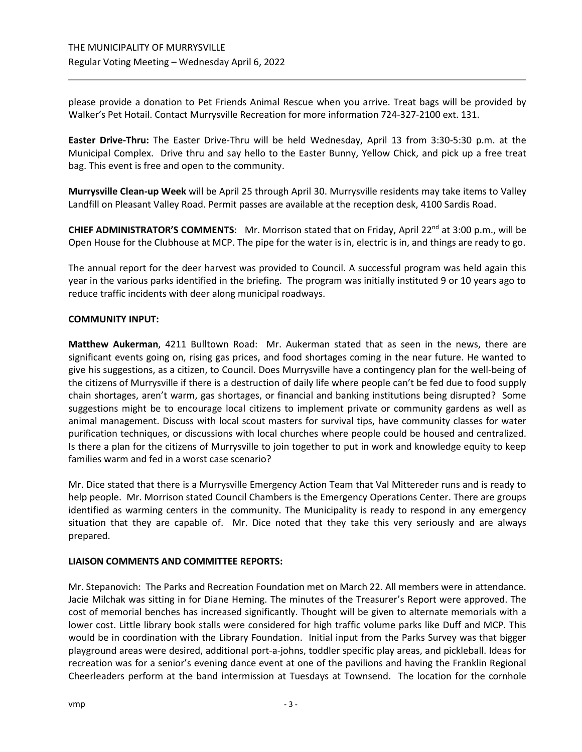please provide a donation to Pet Friends Animal Rescue when you arrive. Treat bags will be provided by Walker's Pet Hotail. Contact Murrysville Recreation for more information 724-327-2100 ext. 131.

**Easter Drive-Thru:** The Easter Drive-Thru will be held Wednesday, April 13 from 3:30-5:30 p.m. at the Municipal Complex. Drive thru and say hello to the Easter Bunny, Yellow Chick, and pick up a free treat bag. This event is free and open to the community.

**Murrysville Clean-up Week** will be April 25 through April 30. Murrysville residents may take items to Valley Landfill on Pleasant Valley Road. Permit passes are available at the reception desk, 4100 Sardis Road.

**CHIEF ADMINISTRATOR'S COMMENTS:** Mr. Morrison stated that on Friday, April 22<sup>nd</sup> at 3:00 p.m., will be Open House for the Clubhouse at MCP. The pipe for the water is in, electric is in, and things are ready to go.

The annual report for the deer harvest was provided to Council. A successful program was held again this year in the various parks identified in the briefing. The program was initially instituted 9 or 10 years ago to reduce traffic incidents with deer along municipal roadways.

# **COMMUNITY INPUT:**

**Matthew Aukerman**, 4211 Bulltown Road: Mr. Aukerman stated that as seen in the news, there are significant events going on, rising gas prices, and food shortages coming in the near future. He wanted to give his suggestions, as a citizen, to Council. Does Murrysville have a contingency plan for the well-being of the citizens of Murrysville if there is a destruction of daily life where people can't be fed due to food supply chain shortages, aren't warm, gas shortages, or financial and banking institutions being disrupted? Some suggestions might be to encourage local citizens to implement private or community gardens as well as animal management. Discuss with local scout masters for survival tips, have community classes for water purification techniques, or discussions with local churches where people could be housed and centralized. Is there a plan for the citizens of Murrysville to join together to put in work and knowledge equity to keep families warm and fed in a worst case scenario?

Mr. Dice stated that there is a Murrysville Emergency Action Team that Val Mittereder runs and is ready to help people. Mr. Morrison stated Council Chambers is the Emergency Operations Center. There are groups identified as warming centers in the community. The Municipality is ready to respond in any emergency situation that they are capable of. Mr. Dice noted that they take this very seriously and are always prepared.

# **LIAISON COMMENTS AND COMMITTEE REPORTS:**

Mr. Stepanovich: The Parks and Recreation Foundation met on March 22. All members were in attendance. Jacie Milchak was sitting in for Diane Heming. The minutes of the Treasurer's Report were approved. The cost of memorial benches has increased significantly. Thought will be given to alternate memorials with a lower cost. Little library book stalls were considered for high traffic volume parks like Duff and MCP. This would be in coordination with the Library Foundation. Initial input from the Parks Survey was that bigger playground areas were desired, additional port-a-johns, toddler specific play areas, and pickleball. Ideas for recreation was for a senior's evening dance event at one of the pavilions and having the Franklin Regional Cheerleaders perform at the band intermission at Tuesdays at Townsend. The location for the cornhole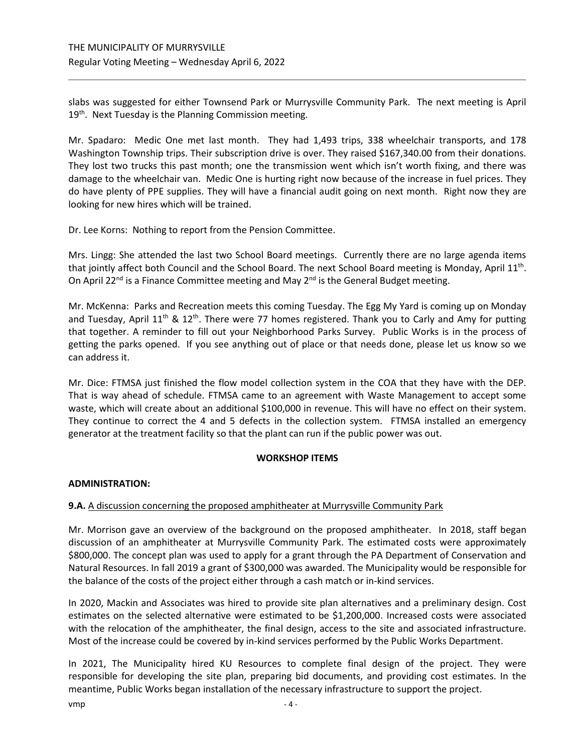slabs was suggested for either Townsend Park or Murrysville Community Park. The next meeting is April 19<sup>th</sup>. Next Tuesday is the Planning Commission meeting.

Mr. Spadaro: Medic One met last month. They had 1,493 trips, 338 wheelchair transports, and 178 Washington Township trips. Their subscription drive is over. They raised \$167,340.00 from their donations. They lost two trucks this past month; one the transmission went which isn't worth fixing, and there was damage to the wheelchair van. Medic One is hurting right now because of the increase in fuel prices. They do have plenty of PPE supplies. They will have a financial audit going on next month. Right now they are looking for new hires which will be trained.

Dr. Lee Korns: Nothing to report from the Pension Committee.

Mrs. Lingg: She attended the last two School Board meetings. Currently there are no large agenda items that jointly affect both Council and the School Board. The next School Board meeting is Monday, April 11<sup>th</sup>. On April 22<sup>nd</sup> is a Finance Committee meeting and May 2<sup>nd</sup> is the General Budget meeting.

Mr. McKenna: Parks and Recreation meets this coming Tuesday. The Egg My Yard is coming up on Monday and Tuesday, April  $11<sup>th</sup>$  &  $12<sup>th</sup>$ . There were 77 homes registered. Thank you to Carly and Amy for putting that together. A reminder to fill out your Neighborhood Parks Survey. Public Works is in the process of getting the parks opened. If you see anything out of place or that needs done, please let us know so we can address it.

Mr. Dice: FTMSA just finished the flow model collection system in the COA that they have with the DEP. That is way ahead of schedule. FTMSA came to an agreement with Waste Management to accept some waste, which will create about an additional \$100,000 in revenue. This will have no effect on their system. They continue to correct the 4 and 5 defects in the collection system. FTMSA installed an emergency generator at the treatment facility so that the plant can run if the public power was out.

# **WORKSHOP ITEMS**

# **ADMINISTRATION:**

# **9.A.** A discussion concerning the proposed amphitheater at Murrysville Community Park

Mr. Morrison gave an overview of the background on the proposed amphitheater. In 2018, staff began discussion of an amphitheater at Murrysville Community Park. The estimated costs were approximately \$800,000. The concept plan was used to apply for a grant through the PA Department of Conservation and Natural Resources. In fall 2019 a grant of \$300,000 was awarded. The Municipality would be responsible for the balance of the costs of the project either through a cash match or in-kind services.

In 2020, Mackin and Associates was hired to provide site plan alternatives and a preliminary design. Cost estimates on the selected alternative were estimated to be \$1,200,000. Increased costs were associated with the relocation of the amphitheater, the final design, access to the site and associated infrastructure. Most of the increase could be covered by in-kind services performed by the Public Works Department.

In 2021, The Municipality hired KU Resources to complete final design of the project. They were responsible for developing the site plan, preparing bid documents, and providing cost estimates. In the meantime, Public Works began installation of the necessary infrastructure to support the project.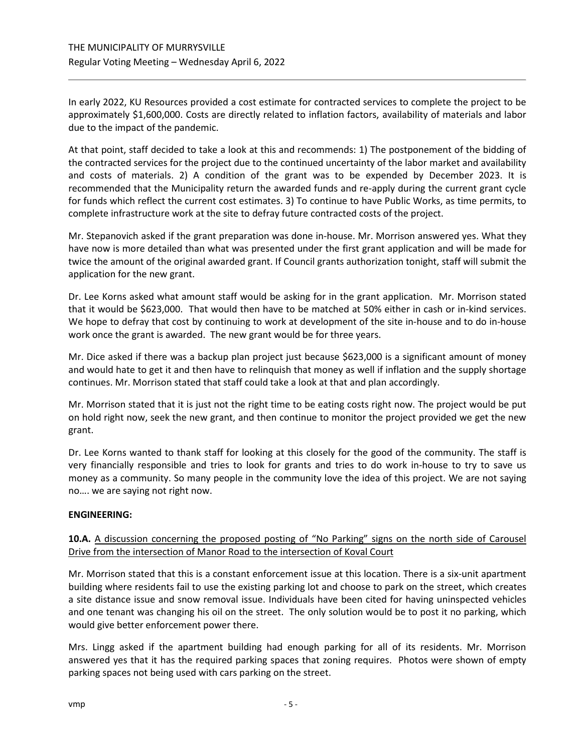In early 2022, KU Resources provided a cost estimate for contracted services to complete the project to be approximately \$1,600,000. Costs are directly related to inflation factors, availability of materials and labor due to the impact of the pandemic.

At that point, staff decided to take a look at this and recommends: 1) The postponement of the bidding of the contracted services for the project due to the continued uncertainty of the labor market and availability and costs of materials. 2) A condition of the grant was to be expended by December 2023. It is recommended that the Municipality return the awarded funds and re-apply during the current grant cycle for funds which reflect the current cost estimates. 3) To continue to have Public Works, as time permits, to complete infrastructure work at the site to defray future contracted costs of the project.

Mr. Stepanovich asked if the grant preparation was done in-house. Mr. Morrison answered yes. What they have now is more detailed than what was presented under the first grant application and will be made for twice the amount of the original awarded grant. If Council grants authorization tonight, staff will submit the application for the new grant.

Dr. Lee Korns asked what amount staff would be asking for in the grant application. Mr. Morrison stated that it would be \$623,000. That would then have to be matched at 50% either in cash or in-kind services. We hope to defray that cost by continuing to work at development of the site in-house and to do in-house work once the grant is awarded. The new grant would be for three years.

Mr. Dice asked if there was a backup plan project just because \$623,000 is a significant amount of money and would hate to get it and then have to relinquish that money as well if inflation and the supply shortage continues. Mr. Morrison stated that staff could take a look at that and plan accordingly.

Mr. Morrison stated that it is just not the right time to be eating costs right now. The project would be put on hold right now, seek the new grant, and then continue to monitor the project provided we get the new grant.

Dr. Lee Korns wanted to thank staff for looking at this closely for the good of the community. The staff is very financially responsible and tries to look for grants and tries to do work in-house to try to save us money as a community. So many people in the community love the idea of this project. We are not saying no…. we are saying not right now.

# **ENGINEERING:**

# **10.A.** A discussion concerning the proposed posting of "No Parking" signs on the north side of Carousel Drive from the intersection of Manor Road to the intersection of Koval Court

Mr. Morrison stated that this is a constant enforcement issue at this location. There is a six-unit apartment building where residents fail to use the existing parking lot and choose to park on the street, which creates a site distance issue and snow removal issue. Individuals have been cited for having uninspected vehicles and one tenant was changing his oil on the street. The only solution would be to post it no parking, which would give better enforcement power there.

Mrs. Lingg asked if the apartment building had enough parking for all of its residents. Mr. Morrison answered yes that it has the required parking spaces that zoning requires. Photos were shown of empty parking spaces not being used with cars parking on the street.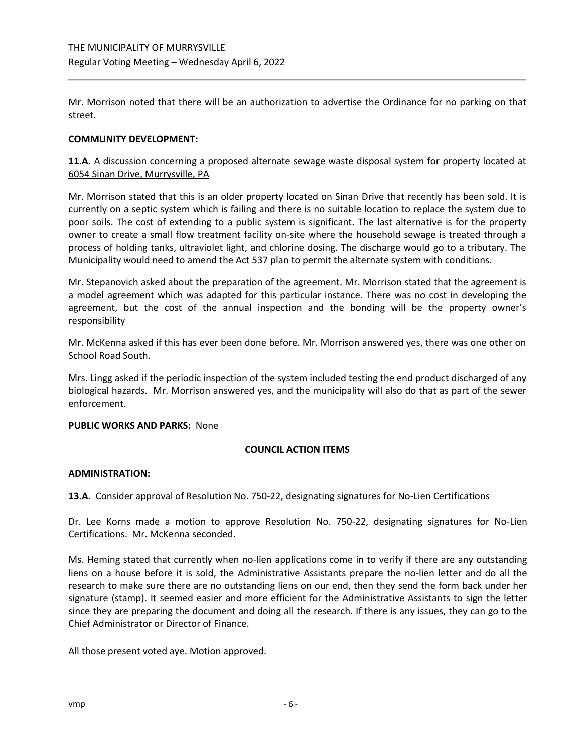Mr. Morrison noted that there will be an authorization to advertise the Ordinance for no parking on that street.

### **COMMUNITY DEVELOPMENT:**

# **11.A.** A discussion concerning a proposed alternate sewage waste disposal system for property located at 6054 Sinan Drive, Murrysville, PA

Mr. Morrison stated that this is an older property located on Sinan Drive that recently has been sold. It is currently on a septic system which is failing and there is no suitable location to replace the system due to poor soils. The cost of extending to a public system is significant. The last alternative is for the property owner to create a small flow treatment facility on-site where the household sewage is treated through a process of holding tanks, ultraviolet light, and chlorine dosing. The discharge would go to a tributary. The Municipality would need to amend the Act 537 plan to permit the alternate system with conditions.

Mr. Stepanovich asked about the preparation of the agreement. Mr. Morrison stated that the agreement is a model agreement which was adapted for this particular instance. There was no cost in developing the agreement, but the cost of the annual inspection and the bonding will be the property owner's responsibility

Mr. McKenna asked if this has ever been done before. Mr. Morrison answered yes, there was one other on School Road South.

Mrs. Lingg asked if the periodic inspection of the system included testing the end product discharged of any biological hazards. Mr. Morrison answered yes, and the municipality will also do that as part of the sewer enforcement.

#### **PUBLIC WORKS AND PARKS:** None

# **COUNCIL ACTION ITEMS**

# **ADMINISTRATION:**

# **13.A.** Consider approval of Resolution No. 750-22, designating signatures for No-Lien Certifications

Dr. Lee Korns made a motion to approve Resolution No. 750-22, designating signatures for No-Lien Certifications. Mr. McKenna seconded.

Ms. Heming stated that currently when no-lien applications come in to verify if there are any outstanding liens on a house before it is sold, the Administrative Assistants prepare the no-lien letter and do all the research to make sure there are no outstanding liens on our end, then they send the form back under her signature (stamp). It seemed easier and more efficient for the Administrative Assistants to sign the letter since they are preparing the document and doing all the research. If there is any issues, they can go to the Chief Administrator or Director of Finance.

All those present voted aye. Motion approved.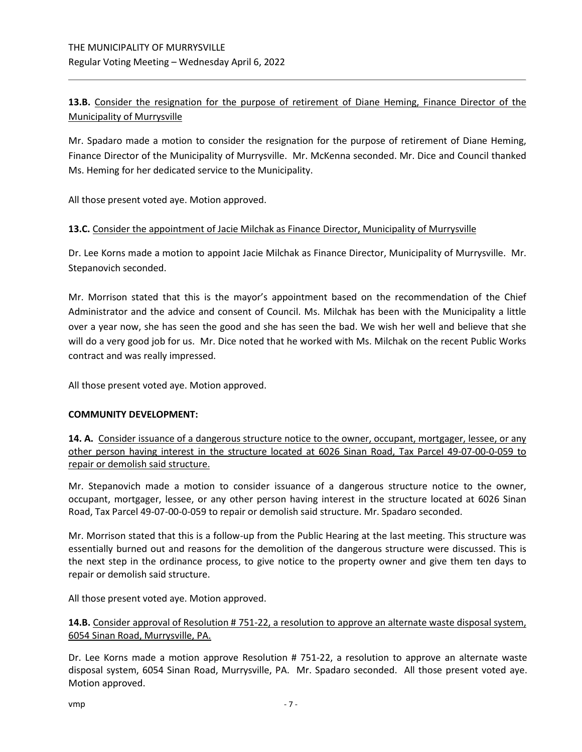**13.B.** Consider the resignation for the purpose of retirement of Diane Heming, Finance Director of the Municipality of Murrysville

Mr. Spadaro made a motion to consider the resignation for the purpose of retirement of Diane Heming, Finance Director of the Municipality of Murrysville. Mr. McKenna seconded. Mr. Dice and Council thanked Ms. Heming for her dedicated service to the Municipality.

All those present voted aye. Motion approved.

# **13.C.** Consider the appointment of Jacie Milchak as Finance Director, Municipality of Murrysville

Dr. Lee Korns made a motion to appoint Jacie Milchak as Finance Director, Municipality of Murrysville. Mr. Stepanovich seconded.

Mr. Morrison stated that this is the mayor's appointment based on the recommendation of the Chief Administrator and the advice and consent of Council. Ms. Milchak has been with the Municipality a little over a year now, she has seen the good and she has seen the bad. We wish her well and believe that she will do a very good job for us. Mr. Dice noted that he worked with Ms. Milchak on the recent Public Works contract and was really impressed.

All those present voted aye. Motion approved.

# **COMMUNITY DEVELOPMENT:**

**14. A.** Consider issuance of a dangerous structure notice to the owner, occupant, mortgager, lessee, or any other person having interest in the structure located at 6026 Sinan Road, Tax Parcel 49-07-00-0-059 to repair or demolish said structure.

Mr. Stepanovich made a motion to consider issuance of a dangerous structure notice to the owner, occupant, mortgager, lessee, or any other person having interest in the structure located at 6026 Sinan Road, Tax Parcel 49-07-00-0-059 to repair or demolish said structure. Mr. Spadaro seconded.

Mr. Morrison stated that this is a follow-up from the Public Hearing at the last meeting. This structure was essentially burned out and reasons for the demolition of the dangerous structure were discussed. This is the next step in the ordinance process, to give notice to the property owner and give them ten days to repair or demolish said structure.

All those present voted aye. Motion approved.

# **14.B.** Consider approval of Resolution # 751-22, a resolution to approve an alternate waste disposal system, 6054 Sinan Road, Murrysville, PA.

Dr. Lee Korns made a motion approve Resolution # 751-22, a resolution to approve an alternate waste disposal system, 6054 Sinan Road, Murrysville, PA. Mr. Spadaro seconded. All those present voted aye. Motion approved.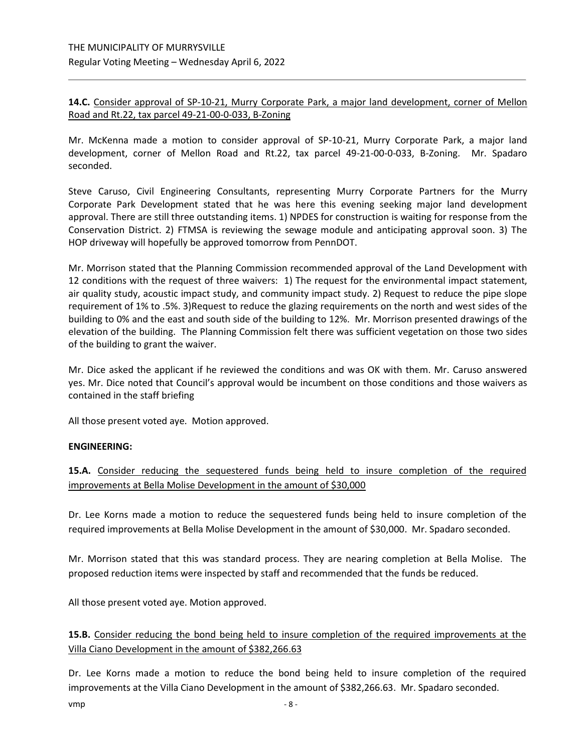# **14.C.** Consider approval of SP-10-21, Murry Corporate Park, a major land development, corner of Mellon Road and Rt.22, tax parcel 49-21-00-0-033, B-Zoning

Mr. McKenna made a motion to consider approval of SP-10-21, Murry Corporate Park, a major land development, corner of Mellon Road and Rt.22, tax parcel 49-21-00-0-033, B-Zoning. Mr. Spadaro seconded.

Steve Caruso, Civil Engineering Consultants, representing Murry Corporate Partners for the Murry Corporate Park Development stated that he was here this evening seeking major land development approval. There are still three outstanding items. 1) NPDES for construction is waiting for response from the Conservation District. 2) FTMSA is reviewing the sewage module and anticipating approval soon. 3) The HOP driveway will hopefully be approved tomorrow from PennDOT.

Mr. Morrison stated that the Planning Commission recommended approval of the Land Development with 12 conditions with the request of three waivers: 1) The request for the environmental impact statement, air quality study, acoustic impact study, and community impact study. 2) Request to reduce the pipe slope requirement of 1% to .5%. 3)Request to reduce the glazing requirements on the north and west sides of the building to 0% and the east and south side of the building to 12%. Mr. Morrison presented drawings of the elevation of the building. The Planning Commission felt there was sufficient vegetation on those two sides of the building to grant the waiver.

Mr. Dice asked the applicant if he reviewed the conditions and was OK with them. Mr. Caruso answered yes. Mr. Dice noted that Council's approval would be incumbent on those conditions and those waivers as contained in the staff briefing

All those present voted aye. Motion approved.

# **ENGINEERING:**

**15.A.** Consider reducing the sequestered funds being held to insure completion of the required improvements at Bella Molise Development in the amount of \$30,000

Dr. Lee Korns made a motion to reduce the sequestered funds being held to insure completion of the required improvements at Bella Molise Development in the amount of \$30,000. Mr. Spadaro seconded.

Mr. Morrison stated that this was standard process. They are nearing completion at Bella Molise. The proposed reduction items were inspected by staff and recommended that the funds be reduced.

All those present voted aye. Motion approved.

**15.B.** Consider reducing the bond being held to insure completion of the required improvements at the Villa Ciano Development in the amount of \$382,266.63

 $v$ mp  $-8$  -Dr. Lee Korns made a motion to reduce the bond being held to insure completion of the required improvements at the Villa Ciano Development in the amount of \$382,266.63. Mr. Spadaro seconded.